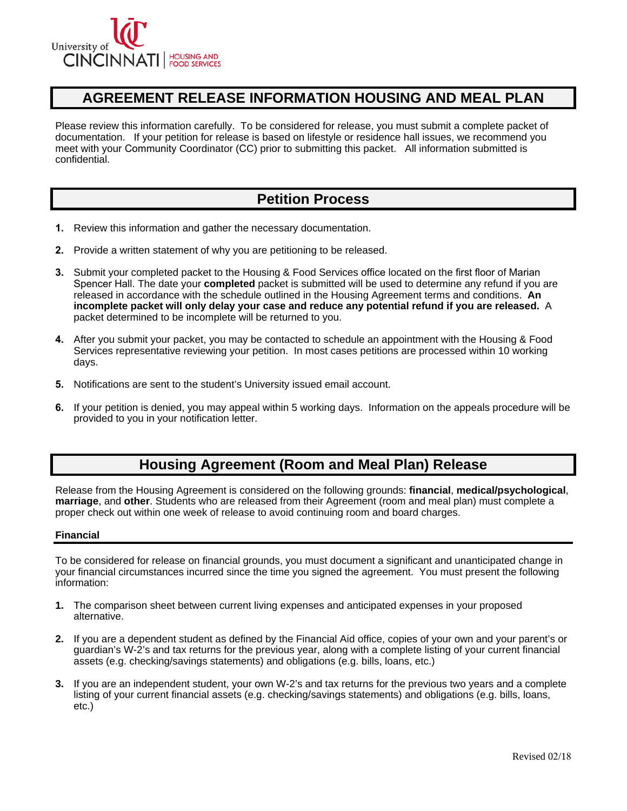

## **AGREEMENT RELEASE INFORMATION HOUSING AND MEAL PLAN**

Please review this information carefully. To be considered for release, you must submit a complete packet of documentation. If your petition for release is based on lifestyle or residence hall issues, we recommend you meet with your Community Coordinator (CC) prior to submitting this packet. All information submitted is confidential.

## **Petition Process**

- **1.** Review this information and gather the necessary documentation.
- **2.** Provide a written statement of why you are petitioning to be released.
- **3.** Submit your completed packet to the Housing & Food Services office located on the first floor of Marian Spencer Hall. The date your **completed** packet is submitted will be used to determine any refund if you are released in accordance with the schedule outlined in the Housing Agreement terms and conditions. **An incomplete packet will only delay your case and reduce any potential refund if you are released.** A packet determined to be incomplete will be returned to you.
- **4.** After you submit your packet, you may be contacted to schedule an appointment with the Housing & Food Services representative reviewing your petition. In most cases petitions are processed within 10 working days.
- **5.** Notifications are sent to the student's University issued email account.
- **6.** If your petition is denied, you may appeal within 5 working days. Information on the appeals procedure will be provided to you in your notification letter.

# **Housing Agreement (Room and Meal Plan) Release**

Release from the Housing Agreement is considered on the following grounds: **financial**, **medical/psychological**, **marriage**, and **other**. Students who are released from their Agreement (room and meal plan) must complete a proper check out within one week of release to avoid continuing room and board charges.

#### **Financial**

To be considered for release on financial grounds, you must document a significant and unanticipated change in your financial circumstances incurred since the time you signed the agreement. You must present the following information:

- **1.** The comparison sheet between current living expenses and anticipated expenses in your proposed alternative.
- **2.** If you are a dependent student as defined by the Financial Aid office, copies of your own and your parent's or guardian's W-2's and tax returns for the previous year, along with a complete listing of your current financial assets (e.g. checking/savings statements) and obligations (e.g. bills, loans, etc.)
- **3.** If you are an independent student, your own W-2's and tax returns for the previous two years and a complete listing of your current financial assets (e.g. checking/savings statements) and obligations (e.g. bills, loans, etc.)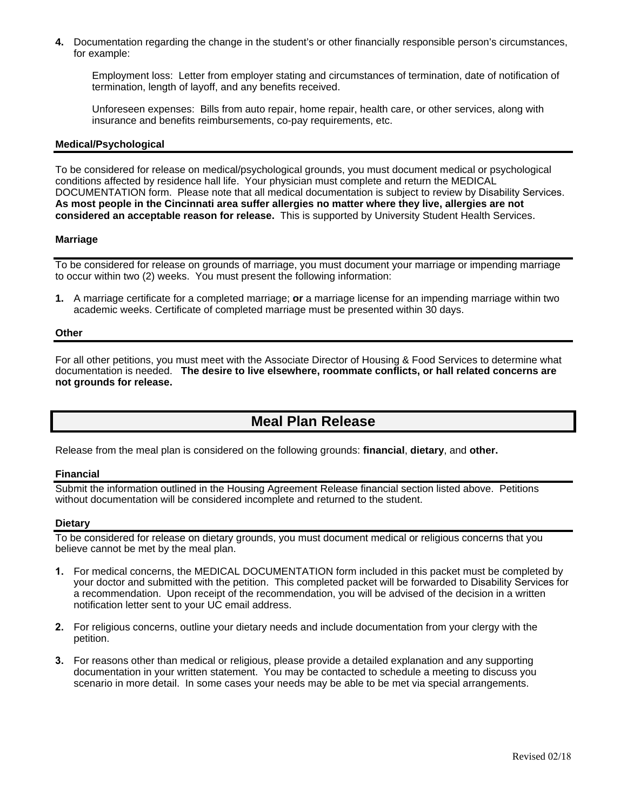**4.** Documentation regarding the change in the student's or other financially responsible person's circumstances, for example:

Employment loss: Letter from employer stating and circumstances of termination, date of notification of termination, length of layoff, and any benefits received.

Unforeseen expenses: Bills from auto repair, home repair, health care, or other services, along with insurance and benefits reimbursements, co-pay requirements, etc.

#### **Medical/Psychological**

 DOCUMENTATION form. Please note that all medical documentation is subject to review by Disability Services. To be considered for release on medical/psychological grounds, you must document medical or psychological conditions affected by residence hall life. Your physician must complete and return the MEDICAL **As most people in the Cincinnati area suffer allergies no matter where they live, allergies are not considered an acceptable reason for release.** This is supported by University Student Health Services.

#### **Marriage**

To be considered for release on grounds of marriage, you must document your marriage or impending marriage to occur within two (2) weeks. You must present the following information:

**1.** A marriage certificate for a completed marriage; **or** a marriage license for an impending marriage within two academic weeks. Certificate of completed marriage must be presented within 30 days.

#### **Other**

For all other petitions, you must meet with the Associate Director of Housing & Food Services to determine what documentation is needed. **The desire to live elsewhere, roommate conflicts, or hall related concerns are not grounds for release.** 

# **Meal Plan Release**

Release from the meal plan is considered on the following grounds: **financial**, **dietary**, and **other.** 

#### **Financial**

Submit the information outlined in the Housing Agreement Release financial section listed above. Petitions without documentation will be considered incomplete and returned to the student.

#### **Dietary**

To be considered for release on dietary grounds, you must document medical or religious concerns that you believe cannot be met by the meal plan.

- **1.** For medical concerns, the MEDICAL DOCUMENTATION form included in this packet must be completed by your doctor and submitted with the petition. This completed packet will be forwarded to Disability Services for a recommendation. Upon receipt of the recommendation, you will be advised of the decision in a written notification letter sent to your UC email address.
- **2.** For religious concerns, outline your dietary needs and include documentation from your clergy with the petition.
- **3.** For reasons other than medical or religious, please provide a detailed explanation and any supporting documentation in your written statement. You may be contacted to schedule a meeting to discuss you scenario in more detail. In some cases your needs may be able to be met via special arrangements.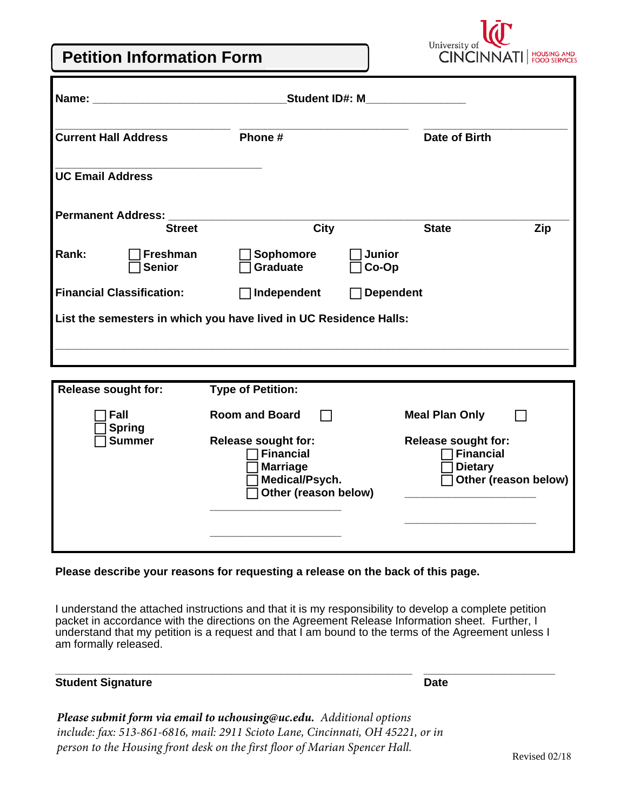# **Petition Information Form**



| <b>Student ID#: M</b><br>Name:                                    |                                  |                               |                        |               |     |  |
|-------------------------------------------------------------------|----------------------------------|-------------------------------|------------------------|---------------|-----|--|
| <b>Current Hall Address</b>                                       |                                  | Phone #                       |                        | Date of Birth |     |  |
| <b>UC Email Address</b>                                           |                                  |                               |                        |               |     |  |
| <b>Permanent Address:</b>                                         | <b>Street</b>                    | <b>City</b>                   |                        | <b>State</b>  | Zip |  |
| Rank:                                                             | <b>Freshman</b><br><b>Senior</b> | Sophomore<br>Graduate         | <b>Junior</b><br>Co-Op |               |     |  |
| <b>Financial Classification:</b>                                  |                                  | Independent<br>$\blacksquare$ | <b>Dependent</b>       |               |     |  |
| List the semesters in which you have lived in UC Residence Halls: |                                  |                               |                        |               |     |  |
|                                                                   |                                  |                               |                        |               |     |  |
|                                                                   |                                  |                               |                        |               |     |  |

| <b>Release sought for:</b> | <b>Type of Petition:</b>                                                                                    |                                                                                          |
|----------------------------|-------------------------------------------------------------------------------------------------------------|------------------------------------------------------------------------------------------|
| Fall<br><b>Spring</b>      | <b>Room and Board</b>                                                                                       | <b>Meal Plan Only</b>                                                                    |
| <b>Summer</b>              | <b>Release sought for:</b><br><b>Financial</b><br><b>Marriage</b><br>Medical/Psych.<br>Other (reason below) | <b>Release sought for:</b><br><b>Financial</b><br><b>Dietary</b><br>Other (reason below) |

## **Please describe your reasons for requesting a release on the back of this page.**

I understand the attached instructions and that it is my responsibility to develop a complete petition packet in accordance with the directions on the Agreement Release Information sheet. Further, I understand that my petition is a request and that I am bound to the terms of the Agreement unless I am formally released.

**\_\_\_\_\_\_\_\_\_\_\_\_\_\_\_\_\_\_\_\_\_\_\_\_\_\_\_\_\_\_\_\_\_\_\_\_\_\_\_\_\_\_\_\_\_\_\_\_\_\_\_\_\_\_\_\_\_ \_\_\_\_\_\_\_\_\_\_\_\_\_\_\_\_\_\_\_\_\_** 

## **Student Signature Date Accord Property Student Signature Date**

*Please submit form via email to uchousing@uc.edu. Additional options include: fax: 513-861-6816, mail: 2911 Scioto Lane, Cincinnati, OH 45221, or in person to the Housing front desk on the first floor of Marian Spencer Hall.* Revised 02/18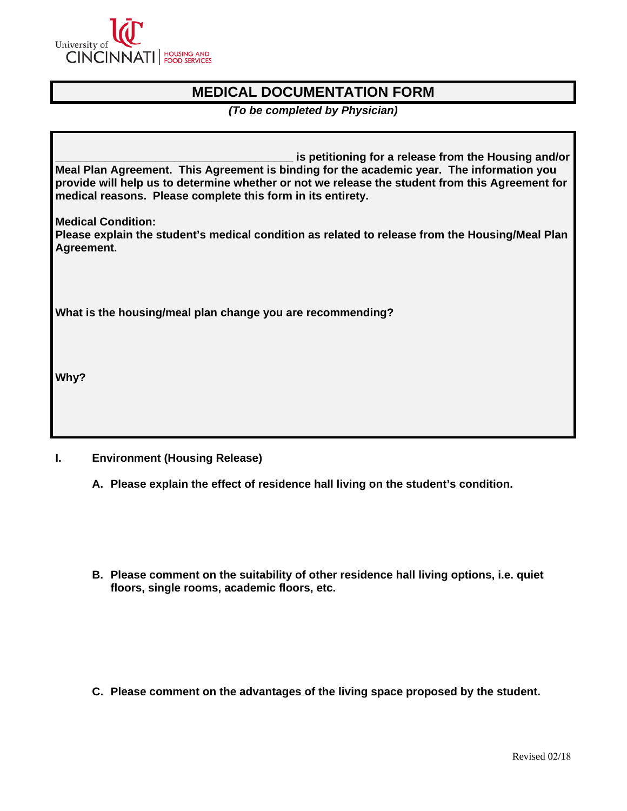

# **MEDICAL DOCUMENTATION FORM**

*(To be completed by Physician)* 

is petitioning for a release from the Housing and/or **Meal Plan Agreement. This Agreement is binding for the academic year. The information you provide will help us to determine whether or not we release the student from this Agreement for medical reasons. Please complete this form in its entirety.** 

**Medical Condition:** 

**Please explain the student's medical condition as related to release from the Housing/Meal Plan Agreement.** 

**What is the housing/meal plan change you are recommending?** 

**Why?** 

## **I. Environment (Housing Release)**

- **A. Please explain the effect of residence hall living on the student's condition.**
- **B. Please comment on the suitability of other residence hall living options, i.e. quiet floors, single rooms, academic floors, etc.**

**C. Please comment on the advantages of the living space proposed by the student.**